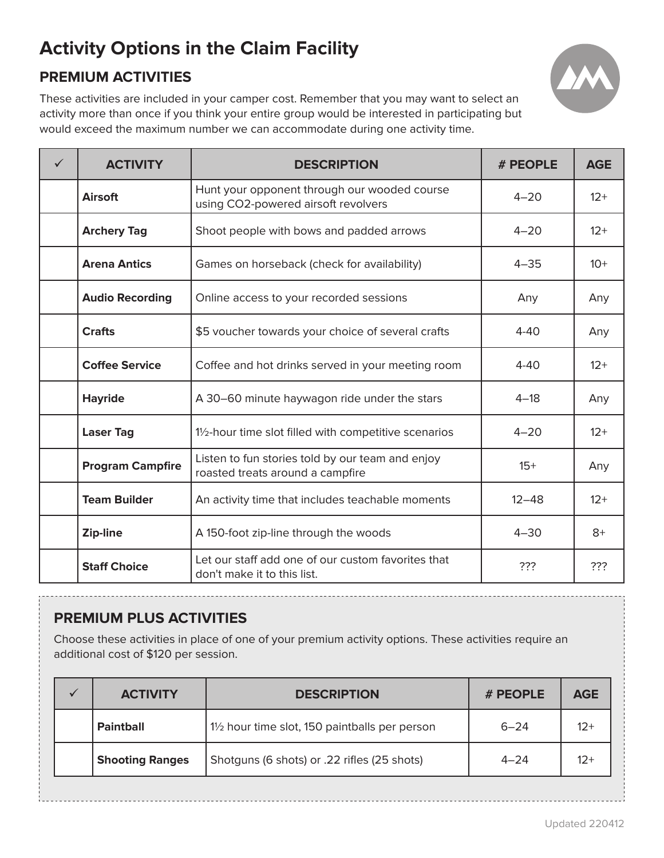# **Activity Options in the Claim Facility**

# **PREMIUM ACTIVITIES**



These activities are included in your camper cost. Remember that you may want to select an activity more than once if you think your entire group would be interested in participating but would exceed the maximum number we can accommodate during one activity time.

| $\checkmark$ | <b>ACTIVITY</b>         | <b>DESCRIPTION</b>                                                                   | # PEOPLE  | <b>AGE</b> |
|--------------|-------------------------|--------------------------------------------------------------------------------------|-----------|------------|
|              | <b>Airsoft</b>          | Hunt your opponent through our wooded course<br>using CO2-powered airsoft revolvers  | $4 - 20$  | $12+$      |
|              | <b>Archery Tag</b>      | Shoot people with bows and padded arrows                                             | $4 - 20$  | $12+$      |
|              | <b>Arena Antics</b>     | Games on horseback (check for availability)                                          | $4 - 35$  | $10+$      |
|              | <b>Audio Recording</b>  | Online access to your recorded sessions                                              | Any       | Any        |
|              | <b>Crafts</b>           | \$5 voucher towards your choice of several crafts                                    | $4 - 40$  | Any        |
|              | <b>Coffee Service</b>   | Coffee and hot drinks served in your meeting room                                    | $4 - 40$  | $12+$      |
|              | <b>Hayride</b>          | A 30-60 minute haywagon ride under the stars                                         | $4 - 18$  | Any        |
|              | <b>Laser Tag</b>        | 11/2-hour time slot filled with competitive scenarios                                | $4 - 20$  | $12+$      |
|              | <b>Program Campfire</b> | Listen to fun stories told by our team and enjoy<br>roasted treats around a campfire | $15+$     | Any        |
|              | <b>Team Builder</b>     | An activity time that includes teachable moments                                     | $12 - 48$ | $12+$      |
|              | Zip-line                | A 150-foot zip-line through the woods                                                | $4 - 30$  | $8+$       |
|              | <b>Staff Choice</b>     | Let our staff add one of our custom favorites that<br>don't make it to this list.    | ???       | ???        |

## **PREMIUM PLUS ACTIVITIES**

Choose these activities in place of one of your premium activity options. These activities require an additional cost of \$120 per session.

| <b>ACTIVITY</b>        | <b>DESCRIPTION</b>                             | # PEOPLE | <b>AGE</b> |
|------------------------|------------------------------------------------|----------|------------|
| <b>Paintball</b>       | 11/2 hour time slot, 150 paintballs per person | $6 - 24$ | $12+$      |
| <b>Shooting Ranges</b> | Shotguns (6 shots) or .22 rifles (25 shots)    | $4 - 24$ | $12+$      |